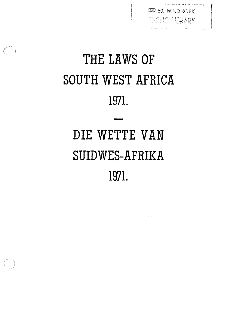**ES 59, WINDHOEK** PUBLIC LIBRARY

# 1971. SOUTH WEST AFRICA THE LAWS OF

# 1971. SUIDWES-AFRIKA DIE WETTE VAN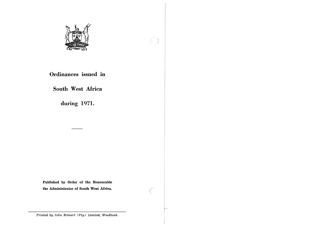

## Ordinances issued in

## South West Africa

during 1971.

Published by Order of the Honourable the Administrator of South West Africa.

Printed by John Meinert (Pty.) Limited, Windhoek.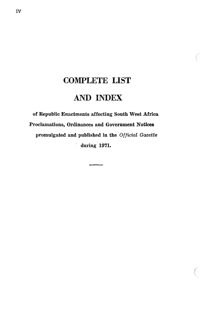# COMPLETE LIST AND INDEX

of Republic Enactments affecting South West Africa Proclamations, Ordinances and Government Notices promulgated and published in the Official Gazette during 1971.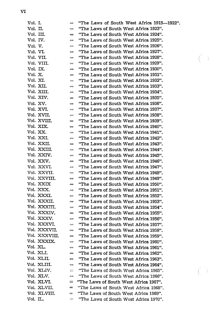| Vol. I.   |               | $\equiv$                        | "The Laws of South West Africa 1915-1922". |
|-----------|---------------|---------------------------------|--------------------------------------------|
| Vol. II.  |               | $=$                             | "The Laws of South West Africa 1923".      |
| Vol. III. |               | $\qquad \qquad =\qquad$         | "The Laws of South West Africa 1924".      |
| Vol. IV.  |               | $\equiv$                        | "The Laws of South West Africa 1925".      |
| Vol. V.   |               | $\qquad \qquad =\qquad$         | "The Laws of South West Africa 1926".      |
| Vol. VI.  |               | $=$                             | "The Laws of South West Africa 1927".      |
|           | Vol. VII.     | iam                             | "The Laws of South West Africa 1928".      |
|           | Vol. VIII.    | $=$                             | "The Laws of South West Africa 1929".      |
| Vol. IX.  |               | $=$                             | "The Laws of South West Africa 1930".      |
| Vol. X.   |               | ==                              | "The Laws of South West Africa 1931".      |
| Vol. XI.  |               | mm.                             | "The Laws of South West Africa 1932".      |
|           | Vol. XII.     | $=$                             | "The Laws of South West Africa 1933".      |
|           | Vol. XIII.    | $=$                             | "The Laws of South West Africa 1934".      |
|           | Vol. XIV.     | $\frac{1}{2}$                   | "The Laws of South West Africa 1935".      |
|           | Vol. XV.      | $\equiv$                        | "The Laws of South West Africa 1936".      |
|           | Vol. XVI.     | $\equiv$                        | "The Laws of South West Africa 1937".      |
|           | Vol. XVII.    | $\equiv$                        | "The Laws of South West Africa 1938".      |
|           | Vol. XVIII.   | $\qquad \qquad \blacksquare$    | "The Laws of South West Africa 1939".      |
|           | Vol. XIX.     | $\equiv$                        | "The Laws of South West Africa 1940".      |
|           | Vol. XX.      | $\equiv$                        | "The Laws of South West Africa 1941".      |
|           | Vol. XXI.     | $=$                             | "The Laws of South West Africa 1942".      |
|           | Vol. XXII.    | $\equiv$                        | "The Laws of South West Africa 1943".      |
|           | Vol. XXIII.   | $=$                             | "The Laws of South West Africa 1944".      |
|           | Vol. XXIV.    | $=$                             | "The Laws of South West Africa 1945".      |
|           | Vol. XXV.     | $\equiv$                        | "The Laws of South West Africa 1946".      |
|           | Vol. XXVI.    | $\qquad \qquad =\qquad \qquad$  | "The Laws of South West Africa 1947".      |
|           | Vol. XXVII.   | $\equiv$                        | "The Laws of South West Africa 1948".      |
|           | Vol. XXVIII.  | $rac{1}{2}$                     | "The Laws of South West Africa 1949".      |
|           | Vol. XXIX     | $=$                             | "The Laws of South West Africa 1950".      |
|           | Vol. XXX.     | $\frac{1}{2}$                   | "The Laws of South West Africa 1951".      |
|           | Vol. XXXI.    | $\equiv$                        | "The Laws of South West Africa 1952".      |
|           | Vol. XXXII.   | $\equiv$                        | "The Laws of South West Africa 1953".      |
|           | Vol. XXXIII.  | $=$                             | "The Laws of South West Africa 1954".      |
|           | Vol. XXXIV.   | $\qquad \qquad \Longrightarrow$ | "The Laws of South West Africa 1955".      |
|           | Vol. XXXV.    | $\frac{1}{2}$                   | "The Laws of South West Africa 1956".      |
|           | Vol. XXXVI.   | $\qquad \qquad =$               | "The Laws of South West Africa 1957".      |
|           | Vol. XXXVII.  | $\qquad \qquad \Longrightarrow$ | "The Laws of South West Africa 1958".      |
|           | Vol. XXXVIII. | $\equiv$                        | "The Laws of South West Africa 1959".      |
|           | Vol. XXXIX.   | $\equiv$                        | "The Laws of South West Africa 1960".      |
| Vol. XL.  |               | mm                              | "The Laws of South West Africa 1961".      |
|           | Vol. XLI.     | $\qquad \qquad \Longrightarrow$ | "The Laws of South West Africa 1962".      |
|           | Vol. XLII.    | $\frac{1}{2}$                   | "The Laws of South West Africa 1963".      |
|           | Vol. XLIII.   | $\sim$                          | "The Laws of South West Africa 1964".      |
|           | Vol. XLIV.    | $\equiv$                        | "The Laws of South West Africa 1965".      |
|           | Vol. XLV.     | $\approx$                       | "The Laws of South West Africa 1966".      |
|           | Vol. XLVI.    | $\equiv$                        | "The Laws of South West Africa 1967".      |
|           | Vol. XLVII.   | $=$                             | "The Laws of South West Africa 1968".      |
|           | Vol. XLVIII.  | $\equiv$                        | "The Laws of South West Africa 1969".      |
| Vol. IL.  |               | $\equiv$                        | "The Laws of South West Africa 1970".      |
|           |               |                                 |                                            |

 $\bigcirc$ 

 $\binom{2}{1}$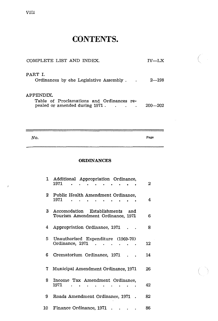| COMPLETE LIST AND INDEX.                                                                 | $IV-IX$     |
|------------------------------------------------------------------------------------------|-------------|
| PART I.<br>Ordinances by ehe Legislative Assembly.                                       | $2 - 198$   |
| APPENDIX.<br>Table of Proclamations and Ordinances re-<br>pealed or amended during 1971. | $200 - 202$ |

 $N$ *O*. Page

 $\mathcal{C}$ 

#### **ORDINANCES**

|              | 1 Additional Appropriation Ordinance,<br>1971                           | 2  |
|--------------|-------------------------------------------------------------------------|----|
|              | 2 Public Health Amendment Ordinance,<br>1971                            | 4  |
| $\mathbf{3}$ | Accomodation Establishments<br>and<br>Tourism Amendment Ordinance, 1971 | 6  |
| 4            | Appropriation Ordinance, 1971                                           | 8  |
| 5.           | Unauthorised Expenditure (1969-70)<br>Ordinance, 1971 .                 | 12 |
| 6.           | Crematorium Ordinance, 1971                                             | 14 |
| 7.           | Municipal Amendment Ordinance, 1971                                     | 26 |
| 8.           | Income Tax Amendment Ordinance,<br>1971<br>$\cdots$<br>$\bullet$        | 42 |
| 9.           | Roads Amendment Ordinance, 1971.                                        | 82 |
| 10 -         | Finance Ordinance, 1971                                                 | 86 |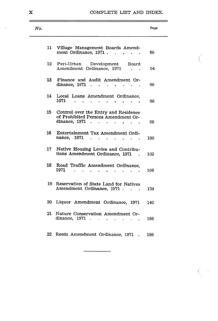#### COMPLETE LIST AND INDEX.

 $\zeta \rightarrow$ 

| No. |                                                                                                      | Page |
|-----|------------------------------------------------------------------------------------------------------|------|
|     | 11 Village Management Boards Amend-<br>ment Ordinance, 1971                                          | 86   |
|     | 12<br>Peri-Urban Development Board<br>Amendment Ordinance, 1971<br>$\cdots$                          | 94   |
|     | Finance and Audit Amendment Or-<br>13<br>dinance, $1971$                                             | 96   |
|     | 14<br>Local Loans Amendment Ordinance,<br>1971<br>والتواصل والتواصل والتواصل والتواص                 | 96   |
|     | 15 -<br>Control over the Entry and Residence<br>of Prohibited Persons Amendment Or-<br>dinance, 1971 | 98   |
|     | 16<br>Entertainment Tax Amendment Ordi-<br>nance, 1971                                               | 100  |
|     | 17<br>Native Housing Levies and Contribu-<br>tions Amendment Ordinance, 1971 .                       | 102  |
|     | 18 -<br>Road Traffic Amendment Ordinance,<br>1971                                                    | 106  |
|     | 19<br>Reservation of State Land for Natives<br>Amendment Ordinance, 1971                             | 134  |
|     | 20<br>Liquor Amendment Ordinance, 1971                                                               | 140  |
|     | 21<br>Nature Conservation Amendment Or-<br>dinance, 1971<br>$\ddot{\phantom{0}}$                     | 166  |
|     | 22 Rents Amendment Ordinance, 1971.                                                                  | 186  |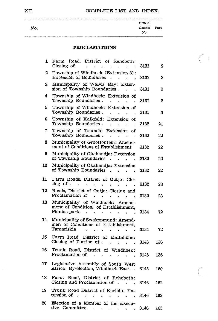## XII COMPLETE LIST AND INDEX.

 $\bigcap$ 

 $\mathcal{C}$ 

| No. | Official<br>Gazette | Page |
|-----|---------------------|------|
|     | No.                 |      |

#### PROCLAMATIONS

| 1  | Farm Road, District of Rehoboth:<br>Closing of<br>$\bullet$<br>$\bullet$ .<br>$\bullet$                                                                                                                  | 3131 | 2   |
|----|----------------------------------------------------------------------------------------------------------------------------------------------------------------------------------------------------------|------|-----|
| 2  | Township of Windhoek (Extension 3):<br><b>Extension of Boundaries</b><br>$\bullet$ .                                                                                                                     | 3131 | 2   |
| 3  | Municipality of Walvis Bay: Exten-<br>sion of Township Boundaries.                                                                                                                                       | 3131 | 3   |
| 4  | Township of Windhoek: Extension of<br>Township Boundaries.<br>$\sim 10^{-10}$ km $^{-1}$<br>$\bullet$                                                                                                    | 3131 | 3   |
| 5  | Township of Windhoek: Extension of<br>Township Boundaries.                                                                                                                                               | 3131 | 3   |
| 6  | Township of Kalkfeld: Extension of<br>Township Boundaries.<br>$\bullet$                                                                                                                                  | 3132 | 21  |
| 7  | Township of Tsumeb: Extension<br>οf<br>Township Boundaries.<br>$\ddot{\phantom{a}}$<br>$\bullet$                                                                                                         | 3132 | 22  |
| 8  | Municipality of Grootfontein: Amend-<br>ment of Conditions of Establishment                                                                                                                              | 3132 | 22  |
| 9  | Municipality of Okahandja: Extension<br>of Township Boundaries<br>$\sim$                                                                                                                                 | 3132 | 22  |
| 10 | Municipality of Okahandja: Extension<br>of Township Boundaries<br>$\ddot{\phantom{a}}$                                                                                                                   | 3132 | 22  |
| 11 | Farm Roads, District of Outjo: Clo-<br>sing of.                                                                                                                                                          | 3132 | 23  |
| 12 | Roads, District of Outjo: Closing and                                                                                                                                                                    |      |     |
| 13 | Proclamation of<br>$\ddot{\phantom{0}}$<br>$\bullet$<br>Municipality of Windhoek: Amend-                                                                                                                 | 3132 | 23  |
|    | ment of Conditions of Establishment,<br>Pionierspark<br>$\bullet$<br>$\bullet$                                                                                                                           | 3134 | 72  |
| 14 | Municipality of Swakopmund: Amend-<br>men of Conditions of Establishment,<br>Tamariskia<br>$\bullet$ .<br><br><br><br><br><br><br><br><br><br><br><br><br>$\sim$<br>$\ddot{\phantom{a}}$<br>$\sim$<br>ä. | 3134 | 72  |
| 15 | Farm Road, District of Maltahöhe:<br>Closing of Portion of $\ldots$<br>$\ddot{\phantom{1}}$<br>$\bullet$                                                                                                 | 3143 | 136 |
| 16 | Trunk Road, District of Windhoek:<br>Proclamation of .<br>$\sim$<br>$\bullet$ .<br>$\sim$<br>$\sim$<br>$\bullet$ .                                                                                       | 3143 | 136 |
| 17 | Legislative Assembly of South West<br>Africa: By-election, Windhoek East.                                                                                                                                | 3145 | 160 |
| 18 | Farm<br>Road, District of Rehoboth:<br>Closing and Proclamation of $\ldots$                                                                                                                              | 3146 | 162 |
| 19 | Trunk Road District of Karibib: Ex-<br>tension of<br>$\ddot{\phantom{0}}$<br>ä.<br>$\bullet$<br>$\bullet$                                                                                                | 3146 | 162 |
| 20 | Election of a Member of the Execu-<br>tive Committee<br>$\bullet$ .<br>$\bullet$<br>$\sim$<br>$\bullet$<br>$\bullet$                                                                                     | 3146 | 163 |

 $\hat{\boldsymbol{\beta}}$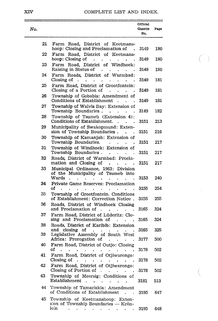## XIV COMPLETE LIST AND INDEX.

 $\langle \cdot \rangle$ 

 $\int_{0}^{\infty}$ 

| No. |                                                                                                                           | Official<br>Gazette<br>No. | Page       |
|-----|---------------------------------------------------------------------------------------------------------------------------|----------------------------|------------|
| 21  | Farm Road, District of Keetmans-<br>hoop: Closing and Proclamation of<br>$\Delta$                                         | 3149                       | 180        |
| 22  | Farm Road, District of Keetmans-<br>hoop: Closing of<br>$\ddot{\phantom{0}}$<br>$\ddot{\phantom{0}}$<br>$\sim$            | 3149                       | 180        |
| 23  | Farm Road, District of Windhoek:<br>Raising in Status of                                                                  | 3149                       | 180        |
| 24  | Farm Roads, District of Warmbad:<br>Closing of<br>$\sim$<br>$\ddot{\phantom{0}}$<br>$\ddot{\phantom{0}}$                  | 3149                       | 181        |
| 25  | Farm Road, District of Grootfontein:<br>Closing of a Portion of<br>$\mathbf{r}$<br>$\bullet$                              | 3149                       | 181        |
| 26  | Township of Gobabis: Amendment of<br>Conditions of Establishment<br>$\ddot{\phantom{a}}$                                  | 3149                       | 181        |
| 27  | Township of Walvis Bay: Extension of<br>Township Boundaries<br>¥.                                                         | 3149                       | 182        |
| 28  | Township of Tsumeb (Extension 4):<br>Conditions of Establishment.<br>$\ddot{\phantom{a}}$                                 | 3151                       | 213        |
| 29  | Municipality of Swakopmund: Exten-<br>sion of Township Boundaries.                                                        | 3151                       | 216        |
| 30  | Township of Kamanjab: Extension of<br>Township Boundaries.<br>¥.<br>$\ddot{\phantom{0}}$                                  | 3151                       | 217        |
| 31  | Township of Windhoek: Extension of<br>Township Boundaries.<br>$\bullet$                                                   | 3151                       | 217        |
| 32  | Roads, District of Warmbad: Procla-<br>mation and Closing of                                                              | 3151                       | 217        |
| 33  | $\bullet$<br>Municipal Ordinance, 1963: Division<br>of the Municipality of Tsumeb into<br>Wards .<br>$\ddot{\phantom{0}}$ | 3153                       | 240        |
| 34  | Private Game Reserves: Proclamation<br>οf                                                                                 | 3155                       | 254        |
| 35  | $\mathbf{r}$<br>$\ddot{\phantom{0}}$<br>Township of Grootfontein. Conditions<br>of Establishment: Correction Notice.      | 3155                       | 255        |
| 36  | Roads, District of Windhoek Closing<br>and Proclamation of .<br>$\bullet$                                                 | 3165                       | 324        |
| 37  | Farm Road, District of Lüderitz: Clo-<br>sing and Proclamation of                                                         | 3165                       | 324        |
| 38  | $\ddot{\phantom{a}}$<br>Roads, District of Karibib: Extension                                                             |                            |            |
| 39  | and<br>closing of<br>Legislative Assembly of South West<br>Africa: Prorogation of .                                       | 3165<br>3177               | 325<br>500 |
| 40  | Farm Road, District of Outjo: Closing<br>οf                                                                               |                            | 502        |
| 41  | Farm Road, District of Otjiwarongo:<br>Closing of                                                                         | 3178                       |            |
| 42  | Farm Road, District of Otjiwarongo:<br>Closing of Portion of $\ldots$                                                     | 3178                       | 502        |
| 43  | Township of Meersig: Conditions of<br>Establishment<br>$\sim$<br>$\ddot{\phantom{a}}$                                     | 3178<br>3181               | 502<br>513 |
| 44  | $\bullet$<br>Township of Tamariskia: Amendment<br>of Conditions of Establishment                                          |                            |            |
| 45  | Township of Keetmanshoop: Exten-                                                                                          | 3195                       | 647        |
|     | sion of Township Boundaries - Krön-<br>lein<br>¥.<br>$\ddot{\phantom{0}}$                                                 | 3195                       | 648        |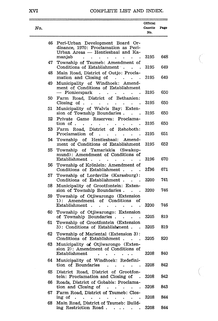## COMPLETE LIST AND INDEX.

 $\overline{C}$ 

 $\bigl(\bigl(\begin{array}{c} 0 \ 0 \end{array} \bigr)$ 

| No. |                                                                                                                                                              | Official<br>Gazette<br>No. | Page       |
|-----|--------------------------------------------------------------------------------------------------------------------------------------------------------------|----------------------------|------------|
| 46  | Peri-Urban Development Board Or-<br>dinance, 1970: Proclamation as Peri-<br>Urban Areas - Hentiesbaai and Ka-                                                |                            |            |
| 47  | manjab<br>$\ddot{\phantom{0}}$<br>Township of Tsumeb: Amendment of                                                                                           | 3195                       | 648        |
| 48  | Conditions of Establishment .<br>Main Road, District of Outjo: Procla-<br>mation and Closing of<br>$\mathcal{L}^{\text{max}}$ and $\mathcal{L}^{\text{max}}$ | 3195<br>3195               | 649<br>649 |
| 49  | Municipality of Windhoek: Amend-<br>ment of Conditions of Establishment<br>Pionierspark                                                                      | 3195                       | 650        |
| 50  | Farm Road, District of Bethanien:<br>Closing of $\blacksquare$ .<br>$\ddot{\phantom{0}}$                                                                     | 3195                       | 650        |
| 51  | Municipality of Walvis Bay: Exten-<br>sion of Township Boundaries                                                                                            | 3195                       | 650        |
| 52  | Private Game Reserves:<br>Proclama-<br>tion of .                                                                                                             | 3195                       | 650        |
| 53  | District of Rehoboth:<br>$\operatorname{Farm}$<br>Road,<br>Proclamation of<br>$\ddot{\phantom{0}}$                                                           | 3195                       | 651        |
| 54  | Township of Hentiesbaai:<br>Amend-<br>ment of Conditions of Establishment                                                                                    | 3195                       | 652        |
| 55  | Township of Tamariskia (Swakop-<br>mund): Amendment of Conditions of<br>Establishment .                                                                      | 3196                       | 670        |
| 56  | Township of Krönlein: Amendment of<br>Conditions of Establishment.                                                                                           | 3196                       | 671        |
| 57  | Township of Lordsville (Karasburg):<br>Conditions of Establishment.<br>$\ddot{\phantom{a}}$                                                                  | 3200                       | 741        |
| 58  | Municipality of Grootfontein: Exten-<br>sion of Township Boundaries.                                                                                         | 3200                       | 746        |
| 59  | Township of Otjiwarongo (Extension<br>Amendment of Conditions<br>1):<br>of<br>Establishment                                                                  | 3200                       | 746        |
| 60  | Township of Otjiwarongo: Extension<br>of Township Boundaries.<br>$\sim$                                                                                      | 3205                       | 819        |
| 61  | Township of Grootfontein (Extension<br>3): Conditions of Establishment.                                                                                      | 3205                       | 819        |
| 62  | Township of Mariental (Extension 3):<br>Conditions of Establishment.<br>$\sim$                                                                               | 3205                       | 820        |
| 63  | Municipality of Otjiwarongo (Exten-<br>sion 2): Amendment of Conditions of<br>Establishment<br>$\bullet$<br>۰                                                | 3208                       | 840        |
| 64  | Municipality of Windhoek: Redefini-<br>tion of Boundaries                                                                                                    | 3208                       | 842        |
| 65  | District Road, District of Grootfon-<br>tein: Proclamation and Closing of                                                                                    | 3208                       | 842        |
| 66  | Roads, District of Gobabis: Proclama-<br>tion and Closing of<br>$\cdot$<br>$\sim 10^{-10}$ m $^{-1}$<br>$\sim$ $\sim$<br>$\bullet$                           | 3208                       | 843        |
| 67  | Farm Road, District of Tsumeb: Clos-<br>ing of<br>$\ddot{\phantom{0}}$<br>$\bullet$                                                                          | 3208                       | 844        |
| 68  | Main Road, District of Tsumeb: Build-<br>ing Restriction Road.                                                                                               | 3208                       | 844        |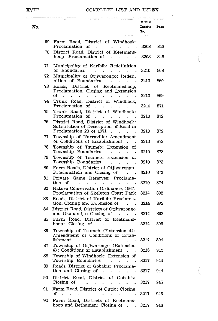#### XVIII

#### COMPLETE LIST AND INDEX.

 $\sqrt{2}$ 

 $\overline{C}$ 

| No. |                                                                                                                                                                                                    | Official<br>Gazette<br>No. | Page |
|-----|----------------------------------------------------------------------------------------------------------------------------------------------------------------------------------------------------|----------------------------|------|
| 69  | Farm Road, District of Windhoek:<br>Proclamation of<br>$\ddot{\phantom{a}}$<br>$\bullet$                                                                                                           | 3208                       | 845  |
| 70  | District Road, District of Keetmans-<br>hoop: Proclamation of<br>$\ddot{\phantom{a}}$<br>$\sim$<br>$\ddot{\phantom{a}}$                                                                            | 3208                       | 845  |
| 71  | Municipality of Karibib: Redefinition<br>of Boundaries<br>÷.                                                                                                                                       | 3210                       | 868  |
| 72  | Municipality of Otjiwarongo: Redefi<br>nition of Boundaries<br><b>Contract</b>                                                                                                                     | 3210                       | 869  |
| 73  | Roads.<br>District<br>of<br>Keetmanshoop,<br>Proclamation, Closing and Extension<br>οf<br>$\ddot{\phantom{a}}$<br>$\ddot{\phantom{0}}$<br>$\bullet$                                                | 3210                       | 869  |
| 74  | Trunk Road, District of Windhoek,<br>Proclamation of<br>$\ddot{\phantom{a}}$<br>$\sim$<br>$\bullet$ .                                                                                              | 3210                       | 871  |
| 75  | Trunk Road, District of Windhoek:<br>Proclamation of<br>$\ddot{\phantom{0}}$                                                                                                                       | 3210                       | 872  |
| 76  | District Road, District of Windhoek:<br>Substitution of Description of Road in<br>Proclamation 23 of 1971<br>$\sim$ $\sim$<br>$\ddot{\phantom{a}}$<br>$\ddot{\phantom{0}}$<br>$\ddot{\phantom{0}}$ | 3210                       | 872  |
| 77  | Township of Narraville: Amendment<br>of Conditions of Establishment<br>$\ddot{\phantom{0}}$                                                                                                        | 3210                       | 872  |
| 78  | Township of Tsumeb:<br>Extension<br>of<br>Township Boundaries<br>$\ddot{\phantom{0}}$<br>$\ddot{\phantom{0}}$                                                                                      | 3210                       | 873  |
| 79  | Township of Tsumeb: Extension of<br>Township Boundaries<br>$\bullet$<br>$\ddot{\phantom{a}}$                                                                                                       | 3210                       | 873  |
| 80  | Farm Roads, District of Otjiwarongo:<br>Proclamation and Closing of                                                                                                                                | 3210                       | 873  |
| 81  | Private Game Reserves: Proclama-<br>tion of<br>$\ddot{\phantom{0}}$<br>$\bullet$<br>$\ddot{\phantom{0}}$                                                                                           | 3210                       | 874  |
| 82  | Nature Conservation Ordinance, 1967:<br>Proclamation of Skeleton Coast Park                                                                                                                        | 3214                       | 892  |
| 83  | Roads, District of Karibib: Proclama-<br>tion, Closing and Extension of                                                                                                                            | 3214                       | 892  |
| 84  | District Road, Districts of Otjiwarongo<br>and Okahandja: Closing of<br>$\sim$ $\sim$                                                                                                              | 3214                       | 893  |
| 85  | Road, District of Keetmans-<br>Farm<br>Closing of<br>hoop:                                                                                                                                         | 3214                       | 893  |
| 86  | Township of Tsumeb (Extension 4):<br>Amendment of Conditions of Estab-<br>lishment.<br>$\sim$                                                                                                      | 3214                       | 894  |
| 87  | Township of Otjiwarongo (Extension<br>4): Conditions of Establishment<br>$\ddot{\phantom{a}}$                                                                                                      | 3216                       | 912  |
| 88  | Township of Windhoek: Extension of<br>Township Boundaries<br>$\mathcal{A}^{\mathcal{A}}$ , and $\mathcal{A}^{\mathcal{A}}$ , and $\mathcal{A}^{\mathcal{A}}$                                       | 3217                       | 944  |
| 89  | Roads, District of Gobabis: Proclama-<br>tion and Closing of.<br>$\bullet$ .<br>$\ddot{\phantom{0}}$<br>÷<br>$\blacksquare$                                                                        | 3217                       | 944  |
| 90  | District Road, District of Gobabis:<br>Closing of<br>$\bullet$<br>$\bullet$                                                                                                                        | 3217                       | 945  |
| 91  | Farm Road, District of Outjo: Closing<br>оf<br>$\ddot{\phantom{a}}$                                                                                                                                | 3217                       | 945  |
| 92  | Farm Road, Districts of Keetmans-<br>hoop and Bethanien: Closing of.<br>$\ddot{\phantom{0}}$                                                                                                       | 3217                       | 946  |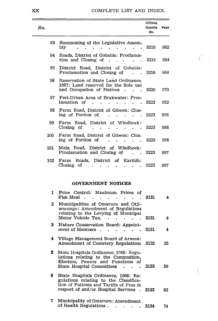| COMPLETE LIST AND INDEX. |  |  |
|--------------------------|--|--|
|--------------------------|--|--|

 $\bigcap$ 

C.

| No.  |                                                                                                                                      | Official<br>Gazette<br>No. | Page |
|------|--------------------------------------------------------------------------------------------------------------------------------------|----------------------------|------|
| 93 - | Summoning of the Legislative Assem-<br>bly<br><b>Contract Contract</b>                                                               | 3218                       | 962  |
| 94   | Roads, District of Gobabis: Proclama-<br>tion and Closing of.<br>. 3219<br>$\sim$                                                    |                            | 964  |
| 95   | District Road, District of Gobabis:<br>Proclamation and Closing of (1986). 1991.                                                     |                            | 964  |
| 96.  | Reservation of State Land Ordinance.<br>1967: Land reserved for the Sole use<br>and Occupation of Natives 3220                       |                            | 979  |
|      | 97 Peri-Urban Area of Brakwater: Proc-<br>lamation of .<br>$\cdot$ $\cdot$ $\cdot$ $\cdot$                                           | . 3222                     | 982  |
| 98 - | Farm Road, District of Gibeon: Clos-<br>ing of Portion of<br>$\sim$ 3223<br>and the state of the state of                            |                            | 986  |
| 99.  | Farm Road, District of Windhoek:<br>Closing of $\cdots$                                                                              | .3223                      | 986  |
| 100  | Farm Road, District of Gibeon: Clos-<br>ing of Portion of                                                                            | 3223                       | 986  |
| 101  | Main Road, District of Windhoek:<br>Proclamation and Closing of 3223                                                                 |                            | 987  |
| 102  | Farm Roads, District of Karibib:<br>$\frac{1}{2}$ Closing of<br>$\ddot{\phantom{a}}$<br>$\sim$ $\sim$ $\sim$ $\sim$<br>$\sim$ $\sim$ | . 3223                     | 987  |

#### GOVERNMENT NOTICES

| 1  | Price Control: Maximum Prices of<br>Fish Meal<br>- 4<br>$\sim$<br>$\sim$ $\sim$ $\sim$ $\sim$ $\sim$                                                                | 3131 | 4  |
|----|---------------------------------------------------------------------------------------------------------------------------------------------------------------------|------|----|
| 2  | Municipalities of Omaruru and Otji-<br>warongo: Amendment of Regulations<br>relating to the Levying of Municipal<br>Motor Vehicle Tax.<br>$\mathbf{L} = \mathbf{L}$ | 3131 | 4  |
| 3. | Nature Conservation Board: Appoint-                                                                                                                                 |      |    |
|    | ment of Members.<br>$\ddot{\phantom{a}}$                                                                                                                            | 3131 | 4  |
| 4  | Village Management Board of Aranos:<br>Amendment of Cemetery Regulations                                                                                            | 3132 | 25 |
| 5  | State Hospitals Ordinance, 1966: Regu-<br>lations relating to the Composition,<br>Election, Powers and Functions of<br>State Hospital Committees.                   | 3133 | 59 |
| 6  | State Hospitals Ordinance, 1966: Re-<br>gulations relating to the Classifica-<br>tion of Patients and Tariffs of Fees in<br>respect of and/or Hospital Services.    | 3133 | 62 |
| 7  | Municipality of Omaruru: Amendment<br>of Health Regulations.                                                                                                        | 3134 | 74 |

 $\sim$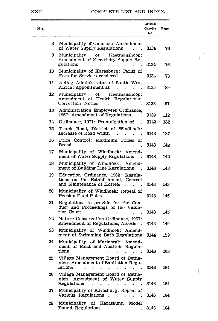#### XXII COMPLETE LIST AND INDEX.

 $\bigcap$ 

 $\bigl(\,\cdot\,\bigr)$ 

| No. |    |                                                                                                                                                       | Official<br>Gazette<br>No. | Page |
|-----|----|-------------------------------------------------------------------------------------------------------------------------------------------------------|----------------------------|------|
|     | 8  | Municipality of Omaruru: Amendment<br>of Water Supply Regulations                                                                                     | 3134                       | 76   |
|     | 9  | Municipality<br>of<br>Keetmanshoop:<br>Amendment of Electricity Supply Re-<br>gulations                                                               | 3134                       | 76   |
|     | 10 | Municipality of Karasburg: Tariff of<br>Fees for Services rendered                                                                                    | 3134                       | 76   |
|     | 11 | Acting Administrator of South West<br>Africa: Appointment as                                                                                          | 3135                       | 89   |
|     | 12 | Keetmanshoop:<br>Municipality<br>οf<br>Amendment of Health Regulations:<br>Correction Notice<br>$\ddot{\phantom{0}}$                                  | 3138                       | 97   |
|     | 13 | Administration Employees Ordinance,<br>1957: Amendment of Regulations.                                                                                | 3139                       | 112  |
|     | 14 | Ordinance, 1971: Promulgation of<br>$\ddot{\phantom{0}}$                                                                                              | 3142                       | 132  |
|     | 15 | Trunk Road, District of Windhoek:<br>Increase of Road Width                                                                                           | 3143                       | 137  |
|     | 16 | Price Control: Maximum Prices<br>οf<br>Bread                                                                                                          | 3143                       | 142  |
|     | 17 | Municipality of Windhoek:<br>Amend-<br>ment of Water Supply Regulations                                                                               | 3143                       | 142  |
|     | 18 | Municipality of Windhoek:<br>Amend-<br>ment of Building Line Regulations                                                                              | 3143                       | 143  |
|     | 19 | Education Ordinance, 1962: Regula-<br>tions on the Establishment, Control<br>and Maintenance of Hostels                                               | 3143                       | 143  |
|     | 20 | Municipality of Windhoek: Repeal of<br>Pension Fund Rules                                                                                             | 3143                       | 145  |
|     | 21 | Regulations to provide for the Con-<br>duct and Proceedings of the Valua-<br>tion Court<br>$\ddot{\phantom{a}}$                                       | 3143                       | 145  |
|     | 22 | Nature Conservation Ordinance, 1967:<br>Amendment of Regulations, Ais-Ais                                                                             | 3143                       | 149  |
|     | 23 | Municipality of Windhoek: Amend-<br>ment of Swimming Bath Regulations                                                                                 | 3144                       | 158  |
|     | 24 | Municipality of Mariental:<br>Amend-<br>ment of Meat and Abattoir Regula-<br>tions                                                                    | 3146                       | 163  |
|     | 25 | Village Management Board of Betha-<br>nien: Amendment of Sanitation Regu-<br>lations                                                                  | 3146                       | 164  |
|     | 26 | Village Management Board of Betha-<br>nien: Amendment of Water Supply<br>Regulations<br>$\bullet$<br>÷.<br>$\bullet$                                  | 3146                       | 164  |
|     | 27 | Municipality of Karasburg: Repeal of<br>Various Regulations<br>$\ddot{\phantom{1}}$<br>$\mathbf{r}$ .<br>$\ddot{\phantom{0}}$                         | 3146                       | 164  |
|     | 28 | Municipality of Karasburg.<br>Model<br>Pound Regulations<br>$\bullet$ .<br><br><br><br><br><br><br><br><br><br><br><br><br><br><br><br>$\blacksquare$ | 3146                       | 164  |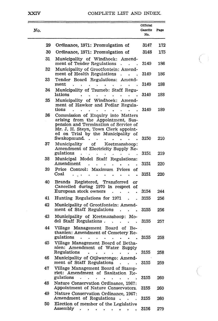#### COMPLETE LIST AND INDEX.

 $\subset \overline{ }$ 

 $\frac{1}{\sqrt{2}}$ 

| No. |          |                                                                                                                                                                                                                                  | Official<br>Gazette<br>No. | Page |
|-----|----------|----------------------------------------------------------------------------------------------------------------------------------------------------------------------------------------------------------------------------------|----------------------------|------|
|     | 29       | Ordinance, 1971: Promulgation of                                                                                                                                                                                                 | 3147                       | 172  |
|     | 30       | Ordinance, 1971: Promulgation of                                                                                                                                                                                                 | 3148                       | 175  |
|     | 31       | Municipality of Windhoek:<br>Amend-<br>ment of Tender Regulations                                                                                                                                                                | 3149                       | 186  |
|     | 32<br>33 | Municipality of Grootfontein: Amend-<br>ment of Health Regulations<br>ä.<br>Tender Board Regulations:<br>Amend-                                                                                                                  | 3149                       | 186  |
|     | 34       | ment<br>Municipality of Tsumeb: Staff Regu-                                                                                                                                                                                      | 3149                       | 188  |
|     |          | lations                                                                                                                                                                                                                          | 3149                       | 188  |
|     | 35       | Municipality of Windhoek:<br>Amend-<br>ment of Hawker and Pedlar Regula-<br>tions                                                                                                                                                | 3149                       | 189  |
|     | 36       | Commission of Enquiry into Matters<br>arising from the Appointment, Sus-<br>pension and Termination of Service of<br>Mr. J. H. Steyn, Town Clerk appoint-<br>ed on Trial by the Municipality of<br>Swakopmund.<br>$\overline{a}$ | 3150                       | 210  |
|     | 37       | Municipality<br>Keetmanshoop:<br>οf<br>Amendment of Electricity Supply Re-<br>gulations                                                                                                                                          | 3151                       | 219  |
|     | 38       | Municipal Model<br>Staff<br>Regulations:<br>Amendment                                                                                                                                                                            | 3151                       | 220  |
|     | 39       | Maximum Prices<br>Price<br>Control:<br>of<br>Coal                                                                                                                                                                                | 3151                       | 220  |
|     | 40       | Brands Registered, Transferred<br>or<br>Cancelled during 1970 in respect<br>οf<br>European stock owners                                                                                                                          | 3154                       | 244  |
|     | 41       | Hunting Regulations for 1971<br>$\ddot{\phantom{0}}$                                                                                                                                                                             | 3155                       | 256  |
|     | 42       | Municipality of Grootfontein: Amend-<br>ment of Staff Regulations                                                                                                                                                                | 3155                       | 256  |
|     | 43       | Municipality of Keetmanshoop:<br>Mo-<br>del Staff Regulations                                                                                                                                                                    | 3155                       | 257  |
|     | 44       | Village Management Board of Be-<br>thanien: Amendment of Cemetery Re-<br>gulations                                                                                                                                               | 3155                       | 258  |
|     | 45       | Village Management Board of Betha-<br>nien: Amendment of Water Supply<br>Regulations                                                                                                                                             | 3155                       | 258  |
|     | 46       | Municipality of Otjiwarongo: Amend-<br>ment of Staff Regulations                                                                                                                                                                 | 3155                       | 259  |
|     | 47       | Village Management Board of Stamp-<br>riet: Amendment of Sanitation Re-<br>gulations                                                                                                                                             | 3155                       | 260  |
|     | 48       | Nature Conservation Ordinance, 1967:<br>Appointment of Nature Conservators.                                                                                                                                                      | 3155                       | 260  |
|     | 49       | Nature Conservation Ordinance, 1967:<br>Amendment of Regulations                                                                                                                                                                 | 3155                       | 260  |
|     | 50       | Election of member of the Legislative<br>Assembly<br>$\bullet$<br>$\sim$ 100 $\pm$<br>$\bullet$                                                                                                                                  | 3156                       | 279  |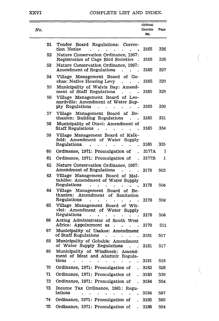#### XXVI

 $\sim$ 

#### COMPLETE LIST AND INDEX.

 $\overline{\mathbb{C}}$ 

 $\mathcal{L}$ 

| No.       |                                                                                                                                                                                                          | Official<br>Gazette<br>No. | Page |
|-----------|----------------------------------------------------------------------------------------------------------------------------------------------------------------------------------------------------------|----------------------------|------|
| 51        | Tender<br>Board Regulations:<br>Correc-<br>tion Notice                                                                                                                                                   | 3165                       | 326  |
| 52        | Nature Conservation Ordinance, 1967:<br>Registration of Cage Bird Societies                                                                                                                              | 3165                       | 326  |
| 53        | Nature Conservation Ordinance, 1967:<br>Amendment of Regulations                                                                                                                                         | 3165                       | 327  |
| 54        | Village Management Board<br>of Go-<br>chas: Native Housing Levy                                                                                                                                          | 3165                       | 329  |
| 55        | Municipality of Walvis Bay: Amend-<br>ment of Staff Regulations                                                                                                                                          | 3165                       | 329  |
| 56        | Village Management Board of Leo-<br>nardville: Amendment of Water Sup-<br>ply Regulations                                                                                                                | 3165                       | 330  |
| 57        | Village Management Board of Be-<br>thanien: Building Regulations                                                                                                                                         | 3165                       | 331  |
| 58        | Municipality of Otavi: Amendment of<br><b>Staff Regulations</b>                                                                                                                                          | 3165                       | 334  |
| 59        | Village Management Board of Kalk-<br>feld: Amendment of Water Supply                                                                                                                                     |                            | 335  |
|           | Regulations.                                                                                                                                                                                             | 3165<br>3177A              | 1    |
| 60<br>61  | Ordinance, 1971: Promulgation of                                                                                                                                                                         |                            | 1    |
|           | Ordinance, 1971: Promulgation of<br>$\ddot{\phantom{0}}$                                                                                                                                                 | 3177B                      |      |
| 62        | Nature Conservation Ordinance, 1967:<br>Amendment of Regulations                                                                                                                                         | 3178                       | 503  |
| 63<br>64. | Village Management Board of<br>Mal-<br>tahöhe: Amendment of Water Supply<br>Regulations<br>Village Management Board of Be-                                                                               | 3178                       | 504  |
|           | thanien:<br>Amendment<br>of<br>Sanitation<br>Regulations                                                                                                                                                 | 3178                       | 504  |
| 65        | Village Management Board of Wit-<br>vlei: Amendment of Water<br>Supply<br>Regulations                                                                                                                    | 3178                       | 504  |
| 66        | Acting Administrator of South West<br>Africa: Appointment as                                                                                                                                             | 3179                       | 511  |
| 67        | Municipality of Usakos: Amendment<br>of Staff Regulations                                                                                                                                                | 3181                       | 517  |
| 68        | Municipality of Gobabis: Amendment<br>of Water Supply Regulations                                                                                                                                        | 3181                       | 517  |
| 69        | Municipality of Windhoek:<br>Amend-<br>ment of Meat and Abattoir Regula-<br>tions<br>$\mathcal{L}^{\text{max}}$<br>$\mathbf{r} = \mathbf{r} + \mathbf{r}$ , where $\mathbf{r} = \mathbf{r}$<br>$\bullet$ | 3181                       | 518  |
| 70        | Ordinance, 1971: Promulgation of                                                                                                                                                                         | 3182                       | 528  |
| 71        | Ordinance, 1971: Promulgation of<br>$\ddot{\phantom{a}}$                                                                                                                                                 | 3183                       | 539  |
| 72        | Ordinance, 1971: Promulgation of<br>$\overline{a}$                                                                                                                                                       | 3184                       | 554  |
| 73        | Income Tax Ordinance, 1961: Regu-<br>lations                                                                                                                                                             | 3184                       | 587  |
| 74        | $\ddot{\phantom{0}}$<br>Ordinance, 1971: Promulgation of<br>$\ddot{\phantom{0}}$                                                                                                                         | 3185                       | 589  |
| 75        | Ordinance, 1971: Promulgation of                                                                                                                                                                         | 3186                       | 594  |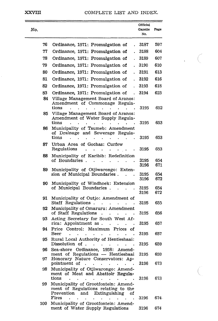$\frac{1}{2}$ €

| No. |          |                                                                                                                         | Official<br>Gazette<br>No. | Page       |
|-----|----------|-------------------------------------------------------------------------------------------------------------------------|----------------------------|------------|
|     | 76       | Ordinance, 1971: Promulgation of<br>$\mathbf{r}$                                                                        | 3187                       | 597        |
|     | 77       | Ordinance, 1971: Promulgation of                                                                                        | 3188                       | 604        |
|     | 78       | Ordinance, 1971: Promulgation of<br>$\ddot{\phantom{0}}$                                                                | 3189                       | 607        |
|     | 79       | Ordinance, 1971: Promulgation of<br>$\cdot$                                                                             | 3190                       | 610        |
|     | 80       | Ordinance, 1971: Promulgation of<br>$\ddot{\phantom{0}}$                                                                | 3191                       | 613        |
|     | 81       | Ordinance, 1971: Promulgation of<br>$\ddot{\phantom{0}}$                                                                | 3192                       | 616        |
|     | 82       | Ordinance, 1971: Promulgation of<br>$\ddot{\phantom{a}}$                                                                | 3193                       | 618        |
|     | 83       | Ordinance, 1971: Promulgation of<br>$\ddot{\phantom{a}}$                                                                | 3194                       | 623        |
|     | 84       | Village Management Board of Aranos:<br>Amendment of Commonage Regula-<br>tions                                          | 3195                       | 652        |
|     | 85       | Village Management Board of Aranos:<br>Amendment of Water Supply Regula-<br>tions                                       | 3195                       | 653        |
|     | 86       | Municipality of Tsumeb: Amendment<br>of Drainage and Sewerage Regula-<br>tions                                          | 3195                       | 653        |
|     | 87       | Urban Area of Gochas: Curfew<br>Regulations                                                                             | 3195                       | 653        |
|     | 88       | Municipality of Karibib: Redefinition<br>of Boundaries                                                                  | 3195<br>3196               | 654<br>671 |
|     | 89       | Municipality of Otjiwarongo: Exten-<br>sion of Municipal Boundaries.<br>Ĭ.                                              | 3195<br>3196               | 654<br>672 |
|     | 90       | Municipality of Windhoek: Extension<br>of Municipal Boundaries.                                                         | 3195<br>3196               | 654<br>672 |
|     | 91       | Municipality of Outjo: Amendment of<br>Staff Regulations.                                                               | 3195                       | 655        |
|     | 92       | Municipality of Omaruru: Amendment<br>of Staff Regulations                                                              | 3195                       | 656        |
|     | 93       | Acting Secretary for South West Af-<br>rica: Appointment as.                                                            | 3195                       | 657        |
|     | 94       | Price Control: Maximum Prices of<br>Beer<br>Rural Local Authority of Hentiesbaai:                                       | 3195                       | 657        |
|     | 95<br>96 | Dissolution of<br>$\ddot{\phantom{a}}$<br>Sea-shore Ordinance, 1958:<br>Amend-                                          | 3195                       | 659        |
|     |          | ment of Regulations — Hentiesbaai                                                                                       | 3195                       | 659        |
|     | 97       | Honorary Nature Conservators: Ap-<br>pointment of                                                                       | 3196                       | 673        |
|     | 98       | Municipality of Otjiwarongo: Amend-<br>ment of Meat and Abattoir Regula-<br>tions                                       | 3196                       | 673        |
|     | 99       | Municipality of Grootfontein: Amend-<br>ment of Regulations relating to the<br>Extinguishing<br>Prevention<br>and<br>of |                            |            |
|     | 100      | Fires<br>Municipality of Grootfontein: Amend-                                                                           | 3196                       | 674.       |
|     |          | ment of Water Supply Regulations                                                                                        | 3196                       | 674        |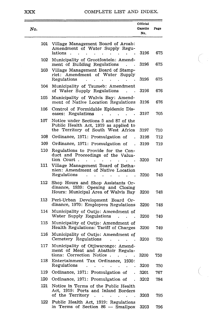## COMPLETE LIST AND INDEX.

 $\bigcap$ 

 $\overline{\mathbb{C}}$  .

| No.        |                                                                                                                                                              | Official<br>Gazette<br>No. | Page |
|------------|--------------------------------------------------------------------------------------------------------------------------------------------------------------|----------------------------|------|
| 101        | Village Management Board of Aroab:<br>Amendment of Water Supply Regu-<br>lations                                                                             | 3196                       | 675  |
| 102        | Municipality of Grootfontein: Amend-<br>ment of Building Regulations                                                                                         | 3196                       | 675  |
| 103        | Village Management Board of Stamp-<br>riet: Amendment of Water Supply<br>Regulations                                                                         | 3196                       | 675  |
| 104        | Municipality of Tsumeb: Amendment<br>of Water Supply Regulations                                                                                             | 3196                       | 676  |
| 105        | Municipality of Walvis Bay: Amend-<br>ment of Native Location Regulations                                                                                    | 3196                       | 676  |
| 106        | Control of Formidable Epidemic Dis-<br>eases: Regulations                                                                                                    | 3197                       | 705  |
| 107        | Notice under Sections 5 and 87 of the<br>Public Health Act, 1919 as applied to<br>the Territory of South West Africa                                         | 3197                       | 710  |
| 108        | Ordinance, 1971: Promulgation of                                                                                                                             | 3198                       | 712  |
| 109        | Ordinance, 1971: Promulgation of                                                                                                                             | 3199                       | 719  |
| 110<br>111 | Regulations to Provide for the Con-<br>duct and Proceedings of the Valua-<br>tion Court.<br>Village Management Board of Betha-                               | 3200                       | 747  |
|            | nien: Amendment of Native Location<br>Regulations                                                                                                            | 3200                       | 748  |
| 112        | Shop Hours and Shop Assistants Or-<br>dinance, 1939: Opening and Closing<br>Hours: Municipal Area of Walvis Bay                                              | 3200                       | 748  |
| 113        | Peri-Urban Development Board Or-<br>dinance, 1970: Employees Regulations                                                                                     | 3200                       | 748  |
| 114        | Municipality of Outjo: Amendment of<br>Water Supply Regulations                                                                                              | 3200                       | 749  |
| 115        | Municipality of Outjo: Amendment of<br>Health Regulations: Tariff of Charges                                                                                 | 3200                       | 749  |
| 116        | Municipality of Outjo: Amendment of<br>Cemetery Regulations                                                                                                  | 3200                       | 750  |
| 117        | Municipality of Otjiwarongo: Amend-<br>ment of Meat and Abattoir Regula-<br>tions: Correction Notice.<br>$\bullet$                                           | 3200                       | 750  |
| 118        | Entertainment Tax Ordinance, 1930:<br>Regulations<br>$\sim$<br><b>Contract Contract</b><br>$\sim$<br>$\bullet$ .<br><br><br><br><br><br><br><br><br><br><br> | 3200                       | 750  |
| 119        | Ordinance, 1971: Promulgation of .                                                                                                                           | 3201                       | 767  |
| 120        | Ordinance, 1971: Promulgation of                                                                                                                             | 3202                       | 784  |
| 121        | Notice in Terms of the Public Health<br>Act, 1919: Ports and Inland Borders<br>of the Territory<br>$\ddot{\phantom{0}}$<br>$\cdot$<br>$\bullet$              | 3203                       | 795  |
| 122        | Public Health Act, 1919: Regulations<br>in Terms of Section 86 - Smallpox                                                                                    | 3203                       | 796  |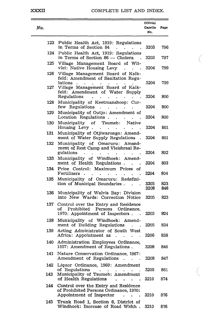#### COMPLETE LIST AND INDEX.

 $\subset$ 

G -

| No. |                                                                                                                                                                          | Official<br>Gazette<br>No. | Page       |
|-----|--------------------------------------------------------------------------------------------------------------------------------------------------------------------------|----------------------------|------------|
| 123 | Public Health Act, 1919: Regulations<br>in Terms of Section 84                                                                                                           | 3203                       | 796        |
| 124 | Public Health Act, 1919: Regulations<br>in Terms of Section 86 - Cholera                                                                                                 | 3203                       | 797        |
| 125 | Village Management Board of Wit-<br>vlei: Native Housing Levy                                                                                                            | 3204                       | 799        |
| 126 | Village Management Board of Kalk-<br>feld: Amendment of Sanitation Regu-<br>lations<br>$\sim$<br>$\ddot{\phantom{0}}$                                                    | 3204                       | 799        |
| 127 | Village Management Board of Kalk-<br>feld: Amendment of Water Supply<br>Regulations<br>$\ddot{\phantom{0}}$                                                              | 3204                       | 800        |
| 128 | Municipality of Keetmanshoop: Cur-<br>few Regulations<br>$\bullet$                                                                                                       | 3204                       | 800        |
| 129 | Municipality of Outjo: Amendment of<br>Location Regulations.                                                                                                             | 3204                       | 800        |
| 130 | Municipality of<br>Tsumeb:<br>Native<br>Housing Levy.<br>$\ddot{\phantom{a}}$<br>$\epsilon$<br>$\ddot{\phantom{0}}$                                                      | 3204                       | 801        |
| 131 | Municipality of Otjiwarongo: Amend-<br>ment of Water Supply Regulations                                                                                                  | 3204                       | 801        |
| 132 | Municipality of Omaruru:<br>Amend-<br>ment of Rest Camp and Vleisbraai Re-<br>gulations<br>$\bullet$<br>$\ddot{\phantom{0}}$<br>$\bullet$<br>$\bullet$<br>$\blacksquare$ | 3204                       | 802        |
| 133 | Municipality of Windhoek:<br>Amend-<br>ment of Health Regulations.                                                                                                       | 3204                       | 803        |
| 134 | Price Control: Maximum<br>Prices<br>οf<br>Fertilizers.<br>٠                                                                                                              | 3204                       | 804        |
| 135 | Municipality of Omaruru: Redefini-<br>tion of Municipal Boundaries.                                                                                                      | 3205<br>3208               | 823<br>846 |
| 136 | Municipality of Walvis Bay: Division<br>into New Wards: Correction Notice                                                                                                | 3205                       | 823        |
| 137 | Control over the Entry and Residence<br>of<br>Prohibited Persons<br>Ordinance.<br>1970: Appointment of Inspectors.                                                       | 3205                       | 824        |
| 138 | Municipality of Windhoek: Amend-<br>ment of Building Regulations                                                                                                         | 3205                       | 824        |
| 139 | Acting Administrator of South West<br>Africa: Appointment as<br>L.<br>$\ddot{\phantom{0}}$<br>$\ddot{\phantom{a}}$                                                       | 3206                       | 838        |
| 140 | Administration Employees Ordinance.<br>1957: Amendment of Regulations.                                                                                                   | 3208                       | 846        |
| 141 | Nature Conservation Ordinance, 1967:<br>Amendment of Regulations.                                                                                                        | 3208                       | 847        |
| 142 | Liquor Ordinance, 1969: Amendment<br>of Regulations                                                                                                                      |                            | 861        |
| 143 | Municipality of Tsumeb: Amendment<br>of Health Regulations                                                                                                               | 3209<br>3210               | 874        |
| 144 | Control over the Entry and Residence<br>of Prohibited Persons Ordinance, 1970:<br>Appointment of Inspector<br>$\bullet$                                                  | 3210                       | 876        |
| 145 | Trunk Road 1, Section 6, District of<br>Windhoek: Increase of Road Width.                                                                                                | 3210                       | 876        |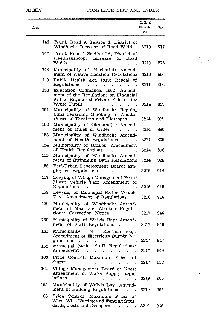## XXXIV COMPLETE LIST AND INDEX.

 $\bigcap$ 

 $\left(\begin{array}{c} \downarrow \\ \downarrow \end{array}\right)$ 

| No.  |                                                                                                                                                 | Official<br>Gazette<br>No. | Page       |
|------|-------------------------------------------------------------------------------------------------------------------------------------------------|----------------------------|------------|
| 146  | Trunk Road 9, Section 1, District of<br>Windhoek: Increase of Road Width.                                                                       | 3210                       | 877        |
| 147  | Trunk Road 1 Section 2A, District of<br>Keetmanshoop: Increase of<br>Road<br>Width<br>$\ddot{\phantom{0}}$<br>٠                                 | 3210                       | 878        |
| 148  | Municipality of Mariental: Amend-<br>ment of Native Location Regulations                                                                        | 3210                       | 880        |
| 149  | Public Health Act, 1919: Repeal of<br>Regulations                                                                                               | 3211                       | 890        |
| 150  | Education Ordinance, 1962: Amend-<br>ment of the Regulations on Financial<br>Aid to Registered Private Schools for<br>White Pupils              | 3214                       | 895        |
| 151  | Municipality of Windhoek:<br>Regula_<br>tions regarding Smoking in Audito-<br>riums of Theatres and Bioscopes                                   | 3214                       | 895        |
| 152  | Municipality of Okahandja:<br>Amend-                                                                                                            |                            |            |
| 153  | ment of Rules of Order<br>Municipality of Windhoek:<br>Amend-                                                                                   | 3214                       | 896        |
| 154  | ment of Health Regulations<br>$\ddot{\phantom{0}}$<br>Municipality of Usakos: Amendment                                                         | 3214                       | 896        |
| 155  | of Health Regulations<br>$\bullet$<br>Municipality of Windhoek:                                                                                 | 3214                       | 898        |
|      | Amend-<br>ment of Swimming Bath Regulations                                                                                                     | 3214                       | 898        |
| 156  | Peri-Urban Development Board: Em-<br>ployees Regulations<br>$\overline{a}$<br>$\ddot{\phantom{0}}$                                              | 3216                       | 914        |
| 157  | Levying of Village Management Board<br>Motor Vehicle Tax: Amendment<br>of<br>Regulations                                                        | 3216                       | 915        |
| 158  | Levying of Municipal Motor Vehicle<br>Tax: Amendment of Regulations                                                                             | 3216                       | 916        |
| 159  | Municipality of Windhoek:<br>Amend-<br>ment of Meat and Abattoir Regula-<br>tions: Correction Notice                                            | 3217                       | 946        |
| 160  | Municipality of Walvis Bay: Amend-<br>ment of Staff Regulations<br>$\ddot{\phantom{0}}$                                                         | 3217                       | 946        |
| 161  | Municipality<br>of<br>Keetmanshoop:<br>Amendment of Electricity Supply Re-                                                                      |                            |            |
| 162. | gulations<br>Municipal Model Staff<br>Regulations:<br>Amendment                                                                                 | 3217<br>3217               | 947<br>949 |
| 163  | Price Control: Maximum Prices of<br>Sugar                                                                                                       | 3217                       | 952        |
| 164  | Village Management Board of Koës:<br>Amendment of Water Supply Regu_<br>lations                                                                 | 3219                       | 965        |
| 165  | Municipality of Walvis Bay: Amend-<br>ment of Building Regulations<br>$\ddot{\phantom{0}}$                                                      | 3219                       | 965        |
| 166  | Price Control: Maximum Prices of<br>Wire, Wire Netting and Fencing Stan-<br>dards, Posts and Droppers<br>$\mathbf{r} = \mathbf{r}$<br>$\bullet$ | 3219                       | 966        |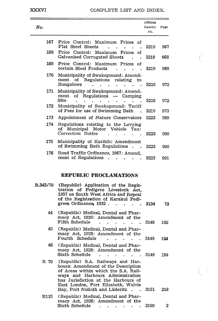#### COMPLETE LIST AND INDEX.

 $\bigcirc$ 

 $\left( \begin{array}{c} \hline \end{array} \right)$ 

| No. |                                                                                                | Official<br>Gazette<br>No. | Page |
|-----|------------------------------------------------------------------------------------------------|----------------------------|------|
| 167 | Price Control: Maximum Prices of<br>Flat Steel Sheets                                          | 3219                       | 967  |
| 168 | Price Control: Maximum Prices<br>of<br>Galvanised Corrugated Sheets                            | 3219                       | 968  |
| 169 | Price Control: Maximum Prices<br>Ωf<br>certain Steel Products                                  | 3219                       | 969  |
| 170 | Municipality of Swakopmund: Amend-<br>ment of Regulations relating<br>to<br><b>Bungalows</b>   | 3219                       | 972  |
| 171 | Municipality of Swakopmund: Amend-<br>ment of Regulations - Camping<br>Site                    | 3219                       | 972  |
| 172 | Municipality of Swakopmund: Tariff<br>of Fees for use of Swimming Bath                         | 3219                       | 973  |
| 173 | Appointment of Nature Conservators                                                             | 3223                       | 989  |
| 174 | Regulations relating to the Levying<br>Municipal Motor Vehicle Tax:<br>of<br>Correction Notice | 3223                       | 990  |
| 175 | Municipality of Karibib: Amendment<br>of Swimming Bath Regulations.                            | 3223                       | 990  |
| 176 | Road Traffic Ordinance, 1967: Amend<br>ment of Regulations                                     | 3223                       | 991  |

## **REPUBLIC PROCLAMATIONS**

| <b>R.343/70</b> | (Republic) Application of the Regis-<br>tration of Pedigree Livestock Act.<br>1957 on South West Africa and Repeal<br>of the Registration of Karakul Pedi-<br>grees Ordinance, 1932.<br>$\cdot$ $\cdot$ 3134                                                              |        | 73           |
|-----------------|---------------------------------------------------------------------------------------------------------------------------------------------------------------------------------------------------------------------------------------------------------------------------|--------|--------------|
| 44              | (Republic) Medical, Dental and Phar-<br>macy Act, 1928: Amendment of the<br>Fifth Schedule                                                                                                                                                                                | . 3149 | 182          |
| 45.             | (Republic) Medical, Dental and Phar-<br>macy Act, 1928: Amendment of the<br>Fourth Schedule                                                                                                                                                                               | . 3149 | 184          |
| 46              | (Republic) Medical, Dental and Phar-<br>macy Act, 1928: Amendment of the<br>Sixth Schedule                                                                                                                                                                                | .3149  | 184          |
| R 70            | (Republic) S.A. Railways and Har-<br>bours: Amendment of the Description<br>of Areas within which the S.A. Rail-<br>ways and Harbours Administration<br>has Jurisdiction at the Harbours of<br>East London, Port Elizabeth, Walvis<br>Bay, Port Nolloth and Lüderitz 3151 |        | 218          |
| R115 -          | (Republic) Medical, Dental and Phar-<br>macy Act, 1928: Amendment of the                                                                                                                                                                                                  |        |              |
|                 | Sixth Schedule                                                                                                                                                                                                                                                            | 3180   | $\mathbf{2}$ |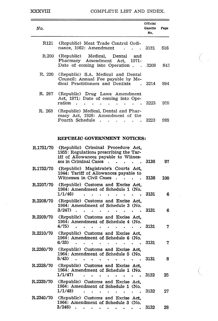#### XXXVIII COMPLETE LIST AND INDEX.

 $\bigcup$ 

| No.              |                                                                                                                                               | Official<br>Gazette<br>No. | Page |
|------------------|-----------------------------------------------------------------------------------------------------------------------------------------------|----------------------------|------|
| R121             | (Republic) Meat Trade Control Ordi-<br>nance, 1962: Amendment                                                                                 | 3181                       | 516  |
| R.200            | (Republic) Medical, Dental and<br>Pharmacy Amendment Act. 1971:<br>Date of coming into Operation.<br>$\overline{\phantom{a}}$                 | - 3208                     | 845  |
| R. 220           | (Republic) S.A. Medical and Dental<br>Council: Annual Fee payable by Me-<br>dical Practitioners and Dentists                                  | 3214                       | 894  |
| R. 267           | (Republic) Drug Laws Amendment<br>Act, 1971: Date of coming into Ope-<br>ration                                                               | 3223                       | 988  |
| R. 268           | (Republic) Medical, Dental and Phar-<br>macy Act, 1928; Amendment of the<br>Fourth Schedule                                                   | 3223                       | 988  |
|                  | REPUBLIC GOVERNMENT NOTICES:                                                                                                                  |                            |      |
| R.1751/70        | (Republic) Criminal Procedure Act,<br>1955: Regulations prescribing the Tar-<br>iff of Allowances payable to Witnes-<br>ses in Criminal Cases | 3138                       | 97   |
| <b>R.1752/70</b> | (Republic) Magistrate's Courts Act.<br>1944: Tariff of Allowances payable to                                                                  |                            |      |

|                  | Witnesses in Civil Cases<br>3138<br>100                                                                    |   |
|------------------|------------------------------------------------------------------------------------------------------------|---|
| R.2207/70        | (Republic) Customs and Excise Act.<br>1964: Amendment of Schedule 1 (No.<br>1/1/46)<br>3131                | 6 |
| R.2208/70        | (Republic) Customs and Excise Act.<br>1964: Amendment of Schedule 3 (No.<br>$3/247$ .<br>3131              | 6 |
| R.2209/70        | (Republic) Customs and Excise Act,<br>1964: Amendment of Schedule 4 (No.<br>4/75)<br>3131                  | 7 |
| R.2210/70        | (Republic) Customs and Excise Act.<br>1964: Amendment of Schedule 6 (No.<br>6/33)<br>3131                  |   |
| R.2260/70        | (Republic) Customs and Excise Act,<br>1964: Amendment of Schedule 5 (No.<br>5/43<br>3131                   | 8 |
|                  | R.2338/70 (Republic) Customs and Excise Act,<br>1964: Amendment of Schedule 1 (No.<br>1/1/47<br>3132<br>25 |   |
| <b>R.2339/70</b> | (Republic) Customs and Excise Act.<br>1964: Amendment of Schedule 1 (No.<br>1/1/48)<br>3132<br>27          |   |
| <b>R.2340/70</b> | (Republic) Customs and Excise Act.<br>1964: Amendment of Schedule 3 (No.                                   |   |

3/248) 3132 28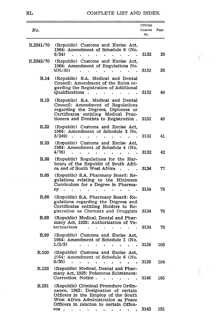#### XL COMPLETE LIST AND INDEX.

 $C_{\ell}$ 

 $\subset \mathbb{N}$ 

| No.       |                                                                                                                                                                                                                                                                                                                                                   | Official<br>Gazette<br>No. | Page |
|-----------|---------------------------------------------------------------------------------------------------------------------------------------------------------------------------------------------------------------------------------------------------------------------------------------------------------------------------------------------------|----------------------------|------|
| R.2341/70 | (Republic) Customs and Excise Act,<br>1964: Amendment of Schedule 6 (No.<br>6/34)                                                                                                                                                                                                                                                                 | 3132                       | 29   |
| R.2342/70 | (Republic) Customs and Excise Act,<br>1964: Amendment of Regulations No.<br>MR/30)                                                                                                                                                                                                                                                                | 3132                       | 36   |
| R.14      | (Republic) S.A. Medical and Dental<br>Council: Amendment of the Rules re-<br>garding the Registration of Additional<br>Qualifications<br>$\ddot{\phantom{a}}$<br>$\ddot{\phantom{1}}$<br>$\ddot{\phantom{0}}$                                                                                                                                     | 3132                       | 40   |
| R.15      | (Republic) S.A. Medical and Dental<br>Council: Amendment of Regulations<br>regarding the Degrees, Diplomas or<br>Certificates entitling Medical Prac-<br>tioners and Dentists to Registration.                                                                                                                                                    | 3132                       | 40   |
| R.22      | (Republic) Customs and Excise Act.<br>1964: Amendment of Schedule 3 No.<br>3/249)                                                                                                                                                                                                                                                                 | 3132                       | 41   |
| R.23      | (Republic) Customs and Excise Act.<br>1964: Amendment of Schedule 4 (No.<br>4/76)                                                                                                                                                                                                                                                                 | 3132                       | 42   |
| R.38      | (Republic) Regulations for the Har-<br>bours of the Republic of South Afri-<br>ca and of South West Africa                                                                                                                                                                                                                                        | 3134                       | 77   |
| R.65      | (Republic) S.A. Pharmacy Board: Re-<br>gulations relating to the Minimum<br>Curriculum for a Degree in Pharma-<br>сy                                                                                                                                                                                                                              | 3134                       | 78   |
| R.66      | (Republic) S.A. Pharmacy Board: Re-<br>gulations regarding the Degrees and<br>Certificates entitling Holders to Re-<br>gistration as Chemists and Druggists                                                                                                                                                                                       | 3134                       | 79   |
| R.68      | (Republic) Medical, Dental and Phar-<br>macy Act, 1928: Authorization of Ve-<br>terinarians                                                                                                                                                                                                                                                       | 3134                       | 79   |
| R.99      | (Republic) Customs and Excise Act.<br>1964: Amendment of Schedule 1 (No.<br>1/2/2)                                                                                                                                                                                                                                                                | 3138                       | 103  |
| R.100     | (Republic) Customs and Excise Act.<br>1964: Amendment of Schedule 6 (No.<br>6/35)                                                                                                                                                                                                                                                                 | 3138                       | 104  |
| R.133     | (Republic) Medical, Dental and Phar-<br>macy Act, 1928: Poisonous Substances:<br>Correction Notice.<br>$\ddot{\phantom{a}}$                                                                                                                                                                                                                       | 3146                       | 165  |
| R.151     | (Republic) Criminal Procedure Ordin-<br>nance, 1963: Designation of certain<br>Officers in the Employ of the South<br>West Africa Administration as Peace<br>Officers in relation to certain Offen-<br>$ces \cdot \cdot \cdot \cdot$<br>$\bullet$ .<br><br>: $\bullet$<br>$\bullet$ . The set of $\bullet$<br>$\bullet$ .<br>$\ddot{\phantom{0}}$ | 3143                       | 151  |

 $\sim$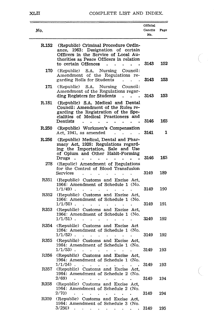#### XLII COMPLETE LIST AND INDEX.

 $\bigodot$ 

| No.   |                                                                                                                                                                                         | Official<br>Gazette | Page       |
|-------|-----------------------------------------------------------------------------------------------------------------------------------------------------------------------------------------|---------------------|------------|
|       |                                                                                                                                                                                         | No.                 |            |
| R.152 | (Republic) Criminal Procedure Ordin-<br>1963: Designation of certain<br>ance.<br>Officers in the Service of Local Au-<br>thorities as Peace Officers in relation<br>to certain Offences | 3143                | 152        |
| 170   | S.A.<br>Nursing<br>(Republic)<br>Council:<br>Amendment of the Regulations<br>re-<br>garding Rolls for Students                                                                          | 3143                | 153        |
| 171.  | (Republic)<br>S.A.<br>Nursing<br>Council:<br>Amendment of the Regulations regar-<br>ding Registers for Students                                                                         | 3143                | 153        |
| R.181 | (Republic) S.A. Medical and Dental<br>Council: Amendment of the Rules re-<br>garding the Registration of the Spe-<br>cialities of Medical Practioners and<br>Dentists                   | 3146                | 165        |
| R.250 | (Republic) Workmen's Compensation<br>Act, 1941, as amended                                                                                                                              | 3141                | 1          |
| R.256 | (Republic) Medical, Dental and Phar-<br>macy Act, 1928: Regulations regard-<br>ing the Importation, Sale and Use<br>of Opium and Other Habit-Forming<br>Drugs                           | 3146                | 165        |
| 278   | (Repulic) Amendment of Regulations<br>for the Control of Blood Transfusion<br>Services                                                                                                  | 3149                | 189        |
| R351  | (Republic) Customs and Excise Act,<br>1964: Amendment of Schedule 1 (No.<br>$1/1/49$ .                                                                                                  | 3149                | 190        |
| R352  | (Republic) Customs and Excise Act,<br>1964: Amendment of Schedule 1 (No.<br>$1/1/50$ ).                                                                                                 | 3149                | 191        |
| R353  | (Republic) Customs and Excise Act.<br>1964: Amendment of Schedule 1 (No.<br>1/1/51).                                                                                                    | 3149                | 192        |
| R354  | (Republic) Customs and Excise Act<br>1964: Amendment of Schedule 1 (No.<br>$1/1/52$ ).                                                                                                  | 3149                | 192        |
| R355  | (Republic) Customs and Excise Act.<br>1964: Amendment of Schedule 1 (No.<br>$1/1/53$ ).                                                                                                 | 3149                | 193        |
| R356  | (Republic) Customs and Excise Act,<br>1964: Amendment of Schedule 1 (No.<br>$1/1/54$ ).                                                                                                 |                     |            |
| R357  | $\bullet$<br>$\bullet$<br>(Republic) Customs and Excise Act,<br>1964: Amendment of Schedule 2 (No.<br>2/69)<br>$\ddot{\phantom{a}}$                                                     | 3149<br>3149        | 193<br>194 |
| R358  | (Republic) Customs and Excise Act.<br>1964: Amendment of Schedule 2 (No.<br>2/70                                                                                                        | 3149                | 194        |
| R359  | (Republic) Customs and Excise Act,<br>1964: Amendment of Schedule 3 (No.<br>3/250<br>$\bullet$<br>the contract of the contract of the con-                                              | 3149                | 195        |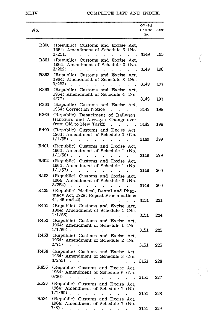#### XLIV COMPLETE LIST AND INDEX.

 $\bigcap$ 

 $\zeta^{\pm}$ 

| No.  |                                                                                                                 | Official<br>Gazette<br>No. | Page       |
|------|-----------------------------------------------------------------------------------------------------------------|----------------------------|------------|
| R360 | (Republic) Customs and Excise Act.<br>1964: Amendment of Schedule 3 (No.<br>3/251                               | 3149                       | 195        |
| R361 | (Republic) Customs and Excise Act,<br>1964: Amendment of Schedule 3 (No.<br>3/252                               | 3149                       | 196        |
| R362 | (Republic) Customs and Excise Act.<br>1964: Amendment of Schedule 3 (No.<br>3/253)                              | 3149                       | 197        |
| R363 | (Republic) Customs and Excise Act.<br>1964: Amendment of Schedule 4 (No.<br>4/77)<br>ä.                         | 3149                       | 197        |
| R364 | (Republic) Customs and Excise Act,<br>1964: Correction Notice                                                   | 3149                       | 198        |
| R369 | (Republic) Department of Railways,<br>Harbours and Airways: Change-over<br>from Old to New Tariff               | 3149                       | 198        |
| R400 | (Republic) Customs and Excise Act,<br>1964: Amendment or Schedule 1 (No.<br>$1/1/55$ ).                         | 3149                       | 199        |
| R401 | (Republic) Customs and Excise Act,<br>1964: Amendment of Schedule 1 (No.<br>$1/1/56$ ).                         | 3149                       | 199        |
| R402 | (Republic) Customs and Excise Act,<br>1964: Amendment of Schedule 1 (No.<br>$1/1/57$ ).                         | 3149                       | 200        |
| R403 | (Republic) Customs and Excise Act.<br>1964: Amendment of Schedule 3 (No.<br>3/254)                              | 3149                       | 200        |
| R425 | (Republic) Medical, Dental and Phar-<br>macy Act, 1928: Repeat Proclamations<br>44, 45 and 46<br>$\overline{a}$ | 3151                       | 221        |
| R451 | (Republic) Customs and Excise Act,<br>1964: Amendment of Schedule 1 (No.<br>$1/1/58$ ).                         |                            | 224        |
| R452 | (Republic) Customs and Excise Act.<br>1964: Amendment of Schedule 1 (No.<br>1/1/59).                            | 3151                       |            |
| R453 | (Republic) Customs and Excise Act,<br>1964: Amendment of Schedule 2 (No.                                        | 3151                       | 225        |
| R454 | 2/71)<br>(Republic) Customs and Excise Act,<br>1964: Amendment of Schedule 3 (No.<br>3/255                      | 3151<br>3151               | 225<br>226 |
| R455 | (Republic) Customs and Excise Act,<br>1964: Amendment of Schedule 6 (No.<br>6/36<br>$\overline{a}$              |                            |            |
| R523 | (Republic) Customs and Excise Act,<br>1964: Amendment of Schedule 1 (No.<br>$1/1/60$ ).                         | 3151                       | 227        |
| R524 | (Republic) Customs and Excise Act.<br>1964: Amendment of Schedule 7 (No.                                        | 3151                       | 228        |
|      | 7/8).<br>$\ddot{\phantom{a}}$<br>$\bullet$<br>$\bullet$ .<br>$\bullet$                                          | 3151                       | 229        |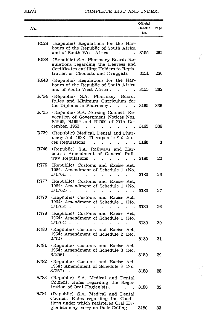#### XLVI COMPLETE LIST AND INDEX.

 $\bigodot$ 

 $\Big(\begin{array}{cc} \cdot \end{array}$  .

| No.  |                                                                                                                                                                              | Official<br>Gazette<br>No. | Page |
|------|------------------------------------------------------------------------------------------------------------------------------------------------------------------------------|----------------------------|------|
| R528 | (Republic) Regulations for the Har-<br>bours of the Republic of South Africa<br>and of South West Africa.                                                                    | 3155                       | 262  |
| R588 | (Republic) S.A. Pharmacy Board: Re-<br>gulations regarding the Degrees and<br>Certificates entitling Holders to Regis-<br>tration as Chemists and Druggists                  | 3151                       | 230  |
| R643 | (Republic) Regulations for the Har-<br>bours of the Republic of South Africa<br>and of South West Africa.                                                                    | 3155                       | 262  |
| R734 | (Republic) S.A. Pharmacy<br>Board:<br>Rules and Minimum Curriculum for<br>the Diploma in Pharmacy.                                                                           | 3165                       | 336  |
| R735 | (Republic) S.A. Nursing Council: Re-<br>vocation of Government Notices Nos.<br>R1998, R1999 and R2000 of 27th De-<br>cember, 1963                                            | 3165                       | 336  |
| R739 | (Republic) Medical, Dental and Phar-<br>macy Act, 1928: Therapeutic Substan-<br>ces Regulations<br>$\ddot{\phantom{0}}$<br>$\ddot{\phantom{a}}$<br>ï<br>$\ddot{\phantom{0}}$ | 3180                       | 3    |
| R746 | (Republic) S.A. Railways and Har-<br>bours: Amendment of General Rail-<br>way Regulations<br>$\ddot{\phantom{0}}$                                                            | 3180                       | 22   |
| R776 | (Republic) Customs and Excise Act,<br>1964: Amendment of Schedule 1 (No.<br>$1/1/61$ .                                                                                       | 3180                       | 26   |
| R777 | (Republic) Customs and Excise Act.<br>1964: Amendment of Schedule 1 (No.<br>1/1/62).<br>ä,                                                                                   | 3180                       | 27   |
| R778 | (Republic) Customs and Excise Act.<br>1964: Amendment of Schedule 1 (No.<br>$1/1/63$ ).<br>$\ddot{\phantom{a}}$                                                              | 3180                       | 26   |
| R779 | (Republic) Customs and Excise Act,<br>1964: Amendment of Schedule 1 (No.<br>1/1/64).                                                                                         | 3180                       | 30   |
| R780 | (Republic) Customs and Excise Act.<br>1964: Amendment of Schedule 2 (No.<br>2/72                                                                                             | 3180                       | 31   |
| R781 | (Republic) Customs and Excise Act.<br>1964: Amendment of Schedule 3 (No.<br>3/256)                                                                                           | 3180                       | 29   |
| R782 | (Republic) Customs and Excise Act,<br>1964: Amendment of Schedule 3 (No.<br>3/257                                                                                            | 3180                       | 28   |
| R783 | (Republic) S.A. Medical and Dental<br>Council: Rules regarding the Regis-<br>tration of Oral Hygienists.<br>$\ddot{\phantom{0}}$                                             | 3180                       | 32   |
| R784 | (Republic) S.A. Medical and Dental<br>Council: Rules regarding the Condi-<br>tions under which registered Oral Hy-                                                           |                            |      |
|      | gienists may carry on their Calling                                                                                                                                          | 3180                       | 33   |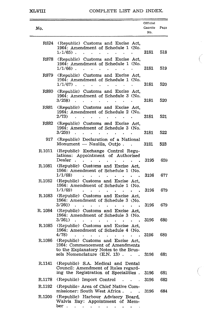#### XLVIII COMPLETE LIST AND INDEX.

 $\overline{C}$ 

 $\overline{C}$ 

| No.     |                                                                                                                                                 | Official<br>Gazette<br>No. | Page |
|---------|-------------------------------------------------------------------------------------------------------------------------------------------------|----------------------------|------|
| R824    | (Republic) Customs and Excise Act,<br>1964: Amendment of Schedule 1 (No.<br>1/1/65).                                                            | 3181                       | 518  |
| R878    | (Republic) Customs and Excise Act.<br>1964: Amendment of Schedule 1 (No.<br>$1/1/66$ ).                                                         | 3181                       | 519  |
| R879    | (Republic) Customs and Excise Act,<br>1964: Amendment of Schedule 1 (No.<br>$1/1/67$ ).                                                         | 3181                       | 520  |
| R880    | (Republic) Customs and Excise Act,<br>1964: Amendment of Schedule 3 (No.<br>3/258)                                                              | 3181                       | 520  |
| R881    | (Republic) Customs and Excise Act,<br>1964: Amendment of Schedule 2 (No.<br>2/73)                                                               | 3181                       | 521  |
| R882    | (Republic) Customs and Excise Act,<br>1964: Amendment of Schedule 3 (No.<br>3/259)                                                              | 3181                       | 522  |
| 917     | (Republic) Declaration of a National<br>Monument — Naulila, Outjo.                                                                              | 3181                       | 523  |
| R.1011  | (Republic) Exchange Control Regu-<br>lations: Appointment of Authorised<br>Dealer                                                               | 3195                       | 659  |
| R.1081  | (Republic) Customs and Excise Act.<br>1964: Amendment of Schedule 1 (No.<br>1/1/68)                                                             | 3196                       | 677  |
| R.1082  | (Republic) Customs and Excise Act.<br>1964: Amendment of Schedule 1 (No.<br>1/1/69)                                                             | 3196                       | 679  |
| R.1083  | (Republic) Customs and Excise Act.<br>1964: Amendment of Schedule 3 (No.<br>3/260)                                                              | 3196                       | 679  |
| R. 1084 | (Republic) Customs and Excise<br>Act.<br>1964: Amendment of Schedule 3 (No.<br>3/261)                                                           | 3196                       | 680  |
| R.1085  | (Republic) Customs and Excise Act.<br>1964: Amendment of Schedule 4 (No.<br>4/78)                                                               | 3196                       | 680  |
| R.1086  | (Republic) Customs and Excise Act.<br>1964: Commencement of Amendments<br>to the Explanatory Notes to the Brus-<br>sels Nomenclature (E.N. 13). | 3196                       | 681  |
| R.1141  | (Republic) S.A. Medical and Dental<br>Council: Amendment of Rules regard-<br>ing the Registration of Specialities.                              | 3196                       | 681  |
| R.1178  | (Republic) Import Control                                                                                                                       | 3196                       | 682  |
| R.1192  | (Republic) Area of Chief Native Com-<br>missioner: South West Africa.<br>$\ddot{\phantom{a}}$<br>$\ddot{\phantom{a}}$                           | 3196                       | 684  |
| R.1200  | (Republic) Harbour Advisory Board,<br>Walvis Bay: Appointment of Mem-<br>ber.                                                                   |                            |      |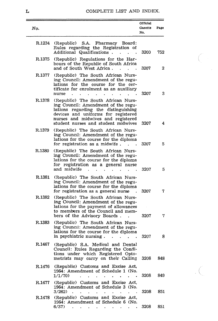## L COMPLETE LIST AND INDEX.

 $\zeta$ 

.  $\bigcirc$ 

| No.    |                                                                                                                                                                                                                                       | Official<br>Gazette<br>No. | Page |
|--------|---------------------------------------------------------------------------------------------------------------------------------------------------------------------------------------------------------------------------------------|----------------------------|------|
| R.1234 | (Republic) S.A. Pharmacy<br>Board:<br>Rules regarding the Registration of<br>Additional Qualifications.<br>$\mathbf{r}$ . The set of $\mathbf{r}$                                                                                     | 3200                       | 752  |
| R.1375 | (Republic) Regulations for the Har-<br>bours of the Republic of South Africa<br>and of South West Africa.                                                                                                                             | 3207                       | 2    |
| R.1377 | (Republic) The South African Nurs-<br>ing Council: Amendment of the regu-<br>lations for the course for the cer-<br>tificate for enrolment as an auxiliary<br>nurse<br>$\ddot{\phantom{a}}$                                           | 3207                       | 3    |
| R.1378 | (Republic) The South African Nurs-<br>ing Council: Amendment of the regu-<br>lations regarding the distinguishing<br>devices and uniforms for registered<br>nurses and midwives and registered<br>student nurses and student midwives | 3207                       | 4    |
| R.1379 | (Republic) The South African Nurs-<br>ing Council: Amendment of the regu-<br>lations for the course for the diploma<br>for registration as a midwife.                                                                                 | 3207                       | 5.   |
| R.1380 | (Republic) The South African Nurs-<br>ing Council: Amendment of the regu-<br>lations for the course for the diploma<br>for registration as a general nurse<br>and midwife                                                             | 3207                       | 5    |
| R.1381 | (Republic) The South African Nurs-<br>ing Council: Amendment of the regu-<br>lations for the course for the diploma<br>for registration as a general nurse                                                                            | 3207                       | 7    |
| R.1382 | (Republic) The South African Nurs-<br>ing Council: Amendment of the regu-<br>lations for the payment of allowances<br>to members of the Council and mem-<br>bers of the Advisory Boards.                                              | 3207                       | 7    |
| R.1383 | (Republic) The South African Nurs-<br>ing Council: Amendment of the regu-<br>lations for the course for the diploma<br>in psychiatric nursing.                                                                                        | 3207                       | 8    |
| R.1467 | (Republic) S.A. Medical and Dental<br>Council: Rules Regarding the Condi-<br>tions under which Registered Opto-<br>metrists may carry on their Calling                                                                                | 3208                       | 848  |
| R.1476 | (Republic) Customs and Excise Act,<br>1964: Amendment of Schedule 1 (No.<br>1/1/70)                                                                                                                                                   | 3208                       | 849  |
| R.1477 | (Republic) Customs and Excise Act,<br>1964: Amendment of Schedule 3 (No.<br>3/262)                                                                                                                                                    | 3208                       | 851  |
| R.1478 | (Republic) Customs and Excise Act,<br>1964: Amendment of Schedule 6 (No.<br>6/37)<br>the contract of the contract of the<br>$\bullet$                                                                                                 | 3208                       | 851  |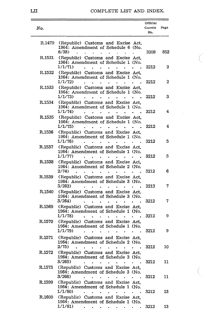## LII COMPLETE LIST AND INDEX.

 $\sqrt{2}$ 

0

|        |                                                                                                                                                                             |                        | Official       |      |
|--------|-----------------------------------------------------------------------------------------------------------------------------------------------------------------------------|------------------------|----------------|------|
| No.    |                                                                                                                                                                             |                        | Gazette<br>No. | Page |
| R.1479 | (Republic) Customs and Excise Act,<br>1964: Amendment of Schedule 6 (No.<br>6/38                                                                                            |                        | 3208           | 852  |
| R.1531 | (Republic) Customs and Excise Act.<br>1964: Amendment of Schedule 1 (No.<br>1/1/71)                                                                                         |                        | 3212           | 2    |
| R.1532 | (Republic) Customs and Excise Act.<br>1964: Amendment of Schedule 1 (No.<br>1/1/72)                                                                                         |                        | 3212           | 2    |
| R.1533 | (Republic) Customs and Excise Act,<br>1964: Amendment of Schedule 1 (No.<br>1/1/73                                                                                          |                        | 3212           | 3    |
| R.1534 | (Republic) Customs and Excise Act.<br>1964: Amendment of Schedule 1 (No.<br>1/1/74                                                                                          |                        | 3212           | 4    |
| R.1535 | (Republic) Customs and Excise Act.<br>1964: Amendment of Schedule 1 (No.<br>1/1/75)                                                                                         |                        | 3212           | 4    |
| R.1536 | (Republic) Customs and Excise Act,<br>1964: Amendment of Schedule 1 (No.<br>1/1/76)                                                                                         |                        | 3212           | 5    |
| R.1537 | (Republic) Customs and Excise Act.<br>1964: Amendment of Schedule 1 (No.<br>1/1/77                                                                                          |                        | 3212           | 5    |
| R.1538 | (Republic) Customs and Excise Act,<br>1964: Amendment of Schedule 2 (No.                                                                                                    |                        |                |      |
| R.1539 | 2/74<br>(Republic) Customs and Excise Act,<br>1964: Amendment of Schedule 3 (No.                                                                                            |                        | 3212           | 6    |
| R.1540 | 3/263<br>(Republic) Customs and Excise Act,<br>1964: Amendment of Schedule 3 (No.                                                                                           |                        | 3212           | 7    |
| R.1569 | 3/264<br>(Republic) Customs and Excise Act,<br>1964: Amendment of Schedule 1 (No.                                                                                           |                        | 3212           | 7    |
| R.1570 | 1/1/78<br>(Republic) Customs and Excise Act,<br>1964: Amendment of Schedule 1 (No.                                                                                          |                        | 3212           | 9    |
| R.1571 | 1/1/79)<br>(Republic) Customs and Excise Act.<br>1964: Amendment of Schedule 2 (No.                                                                                         |                        | 3212           | 9    |
| R.1572 | 2/75)<br>(Republic) Customs and Excise Act.<br>1964: Amendment of Schedule 3 (No.                                                                                           |                        | 3212           | 10   |
| R.1573 | 3/265<br>$\mathbf{r}$<br>$\bullet$ . In the $\bullet$ , $\bullet$<br>$\sim$ $\sim$<br>$\bullet$<br>(Republic) Customs and Excise Act.<br>1964: Amendment of Schedule 3 (No. | $\bullet$              | 3212           | 11   |
| R.1599 | 3/266<br>$\ddot{\phantom{a}}$<br>(Republic) Customs and Excise Act,<br>1964: Amendment of Schedule 1 (No.                                                                   | $\bullet$              | 3212           | 11   |
| R.1600 | 1/1/80)<br>$\overline{a}$<br>(Republic) Customs and Excise Act,<br>1964: Amendment of Schedule 1 (No.                                                                       |                        | 3212           | 13   |
|        | 1/1/81)<br>$\bullet$ . In the case of the case of the $\bullet$                                                                                                             | $\bullet$<br>$\bullet$ | 3212           | 13   |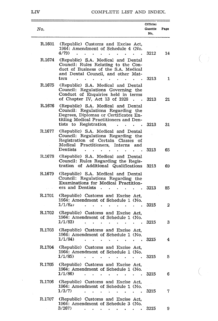LIV COMPLETE LIST AND INDEX.

 $\left(\begin{array}{c} 1 \\ 1 \end{array}\right)$ 

 $\begin{pmatrix} 1 & 1 \\ 1 & 1 \end{pmatrix}$ 

| No.                                                                                                                                                                                            |                                                                                                      | Official<br>Gazette<br>No. | Page |
|------------------------------------------------------------------------------------------------------------------------------------------------------------------------------------------------|------------------------------------------------------------------------------------------------------|----------------------------|------|
| R.1601<br>(Republic) Customs and Excise Act,<br>1964: Amendment of Schedule 4 (No.<br>4/79)                                                                                                    |                                                                                                      | 3212                       | 14   |
| R.1674<br>(Republic) S.A. Medical and Dental<br>Council: Rules Relating to the Con-<br>duct of Business of the S.A. Medical<br>and Dental Council, and other Mat-<br>ters                      |                                                                                                      | 3213                       | 1    |
| R.1675<br>(Republic) S.A. Medical and Dental<br>Council: Regulations Governing the<br>Conduct of Enquiries held in terms<br>of Chapter IV, Act 13 of 1928                                      |                                                                                                      | 3213                       | 21   |
| R.1676<br>(Republic) S.A. Medical and Dental<br>Council: Regulations Regarding the<br>Degrees, Diplomas or Certificates En-<br>titling Medical Practitioners and Den-<br>tists to Registration |                                                                                                      | 3213                       | 31   |
| R.1677<br>(Republic) S.A. Medical and Dental<br>Council: Regulations Regarding the<br>Registration of Certain Classes<br>Medical Practitioners,<br>Dentists                                    | ΟÍ<br>Interns<br>and                                                                                 | 3213                       | 65   |
| (Republic) S.A. Medical and Dental<br>R.1678<br>Council: Rules Regarding the Regis-<br>tration of Additional Qualifications                                                                    |                                                                                                      | 3213                       | 69   |
| R.1679<br>(Republic) S.A. Medical and Dental<br>Council: Regulations Regarding the<br>Examinations for Medical Practition-<br>ers and Dentists                                                 |                                                                                                      | 3213                       | 85   |
| R.1701<br>(Republic) Customs and Excise Act,<br>1964: Amendment of Schedule 1 (No.<br>1/1/8z<br>$\Delta$                                                                                       |                                                                                                      | 3215                       | 2    |
| R.1702<br>(Republic) Customs and Excise Act,<br>1964: Amendment of Schedule 1 (No.<br>1/1/83                                                                                                   |                                                                                                      | 3215                       | 3    |
| R.1703<br>(Republic) Customs and Excise Act,<br>1964: Amendment of Schedule 1 (No.<br>1/1/84)                                                                                                  |                                                                                                      | 3215                       | 4    |
| R.1704<br>(Republic) Customs and Excise Act,<br>1964: Amendment of Schedule 1 (No.<br>1/1/85                                                                                                   | ٠                                                                                                    | 3215                       | 5    |
| (Republic) Customs and Excise Act,<br>R.1705<br>1964: Amendment of Schedule 1 (No.<br>1/1/86                                                                                                   |                                                                                                      | 3215                       | 6    |
| R.1706<br>(Republic) Customs and Excise Act,<br>1964: Amendment of Schedule 1 (No.<br>1/3/7)                                                                                                   | $\ddot{\phantom{a}}$                                                                                 | 3215                       | 7    |
| R.1707<br>(Republic) Customs and Excise Act,<br>1964: Amendment of Schedule 3 (No.<br>3/267<br>$\cdot$<br>×.                                                                                   | $\bullet$<br>$\mathcal{A}^{\text{max}}$ , where $\mathcal{A}^{\text{max}}$<br>$\bullet$<br>$\bullet$ | 3215                       | 9.   |

 $\sim 10^{-11}$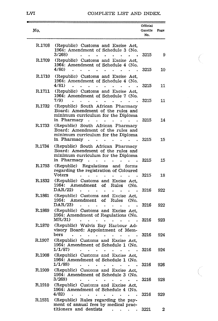#### LVI COMPLETE LIST AND INDEX.

-

C

 $\overline{C}$ 

| No.    |                                                                                                                                                                            | Official<br>Gazette<br>No. | Page |
|--------|----------------------------------------------------------------------------------------------------------------------------------------------------------------------------|----------------------------|------|
| R.1708 | (Republic) Customs and Excise Act,<br>1964: Amendment of Schedule 3 (No.<br>3/268)                                                                                         | 3215                       | 9    |
| R.1709 | (Republic) Customs and Excise Act,<br>1964: Amendment of Schedule 4 (No.<br>4/80)<br>$\ddot{\phantom{0}}$                                                                  | 3215                       | 10   |
| R.1710 | (Republic) Customs and Excise Act.<br>1964: Amendment of Schedule 4 (No.<br>4/81)                                                                                          | 3215                       | 11   |
| R.1711 | (Republic) Customs and Excise Act.<br>1964: Amendment of Schedule 7 (No.<br>7/9)                                                                                           | 3215                       | 11   |
| R.1732 | (Republic) South African Pharmacy<br>Board: Amendment of the rules and<br>minimum curriculum for the Diploma<br>in Pharmacy<br>$\bullet$                                   | 3215                       | 14   |
| R.1733 | (Republic) South African Pharmacy<br>Board: Amendment of the rules and<br>minimum curriculum for the Diploma<br>in Pharmacy                                                | 3215                       | 15   |
| R.1734 | (Republic) South African Pharmacy<br>Board: Amendment of the rules and<br>minimum curriculum for the Diploma<br>in Pharmacy<br>$\ddot{\phantom{0}}$<br>$\bullet$<br>۰<br>۰ | 3215                       | 15   |
| R.1793 | (Republic) Regulations and<br>forms<br>regarding the registration of Coloured<br>Voters                                                                                    | 3215                       | 18   |
| R.1832 | (Republic) Customs and Excise Act.<br>1964:<br>Amendment<br>of<br>Rules<br>(No.<br>DAR/22)                                                                                 | 3216                       | 922  |
| R.1861 | (Republic) Customs and Excise<br>Act.<br>1964:<br>Amendment<br>of<br>Rules<br>(No.<br>DAR/23<br>$\bullet$<br>$\ddot{\phantom{0}}$                                          | 3216                       | 922  |
| R.1869 | (Republic) Customs and Excise Act,<br>1964: Amendment of Regulations (No.<br>MR/31)                                                                                        | 3216                       | 923  |
| R.1870 | (Republic) Walvis Bay Harbour Ad-<br>visory Board: Appointment of Mem-<br>bers                                                                                             | 3216                       | 924  |
| R.1907 | (Republic) Customs and Excise Act,<br>1964: Amendment of Schedule 1 (No.<br>1/1/87                                                                                         | 3216                       | 924  |
| R.1908 | (Republic) Customs and Excise Act,<br>1964: Amendment of Schedule 1 (No.<br>1/1/88)                                                                                        | 3216                       | 926  |
| R.1909 | (Republic) Customs and Excise Act,<br>1964: Amendment of Schedule 3 (No.<br>3/269)<br>$\ddot{\phantom{0}}$<br>$\ddot{\phantom{0}}$                                         | 3216                       | 928  |
| R.1910 | (Republic) Customs and Excise Act,<br>1964: Amendment of Schedule 4 (No.<br>4/82)                                                                                          | 3216                       | 929  |
| R.1931 | (Republic) Rules regarding the pay-<br>ment of annual fees by medical prac-<br>titioners and dentists<br>$\mathbf{A}$ and $\mathbf{A}$ are $\mathbf{A}$ . The $\mathbf{A}$ | 3221                       | 2    |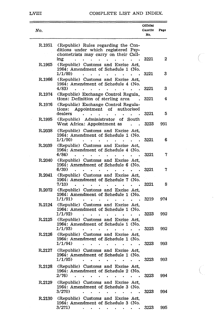#### LVIII COMPLETE LIST AND INDEX.

| No.    |                                                                                                                                                                        | Official<br>Gazette<br>No. | Page |
|--------|------------------------------------------------------------------------------------------------------------------------------------------------------------------------|----------------------------|------|
| R.1951 | (Republic) Rules regarding the Con-<br>ditions under which registered Psy-<br>chometrists may carry on their Call-                                                     |                            | 2    |
| R.1965 | ing<br>(Republic) Customs and Excise Act,<br>1964: Amendment of Schedule 1 (No.<br>1/1/89).                                                                            | 3221<br>3221               | 3    |
| R.1966 | (Republic) Customs and Excise Act.<br>1964: Amendment of Schedule 4 (No.<br>$4/83$ )                                                                                   | 3221                       | 3    |
| R.1974 | (Republic) Exchange Control Regula_<br>tions: Definition of sterling area                                                                                              | 3221                       | 4    |
| R.1976 | (Republic) Exchange Control Regula-<br>Appointment of<br>authorised<br>tions:<br>dealers                                                                               | 3221                       | 5    |
| R.1995 | Administrator<br>of<br>(Republic)<br>South<br>West Africa: Appointment as                                                                                              | 3223                       | 991  |
| R.2038 | (Republic) Customs and Excise Act,<br>1964: Amendment of Schedule 1 (No.<br>1/1/90)                                                                                    | 3221                       | 6    |
| R.2039 | (Republic) Customs and Excise Act.<br>1964: Amendment of Schedule 4 (No.<br>4/84)                                                                                      | 3221                       | 7    |
| R.2040 | (Republic) Customs and Excise Act,<br>1964: Amendment of Schedule 6 (No.<br>6/39)                                                                                      | 3221                       | 7    |
| R.2041 | (Republic) Customs and Excise Act.<br>1964: Amendment of Schedule 7 (No.<br>7/10)                                                                                      | 3221                       | 8    |
| R.2072 | (Republic) Customs and Excise Act.<br>1964: Amendment of Schedule 1 (No.<br>1/1/91)                                                                                    | 3219                       | 974  |
| R.2124 | (Republic) Customs and Excise Act,<br>1964: Amendment of Schedule 1 (No.<br>1/1/92)                                                                                    |                            |      |
| R.2125 | (Republic) Customs and Excise Act.<br>1964: Amendment of Schedule 1 (No.                                                                                               | 3223                       | 992  |
| R.2126 | 1/1/93<br>(Republic) Customs and Excise Act.<br>1964: Amendment of Schedule 1 (No.                                                                                     | 3223                       | 992  |
| R.2127 | 1/1/94)<br>(Republic) Customs and Excise Act.<br>1964: Amendment of Schedule 1 (No.                                                                                    | 3223                       | 993  |
| R.2128 | 1/1/95)<br><b>Contract Contract</b><br>$\bullet$<br>$\sim$ $\sim$<br>(Republic) Customs and Excise Act,<br>1964: Amendment of Schedule 2 (No.                          | 3223                       | 993  |
| R.2129 | 2/76<br>(Republic) Customs and Excise Act,<br>1964: Amendment of Schedule 3 (No.                                                                                       | 3223                       | 994  |
| R.2130 | 3/270)<br>$\ddot{\phantom{a}}$<br>(Republic) Customs and Excise Act,                                                                                                   | 3223                       | 994  |
|        | 1964: Amendment of Schedule 3 (No.<br>3/271<br>×.<br>$\bullet$<br>$\mathcal{A}=\mathcal{A}$ . $\mathcal{A}=\mathcal{A}$<br>$\sim$ 100 $\pm$<br>$\sim 100$ km s $^{-1}$ | 3223                       | 995  |